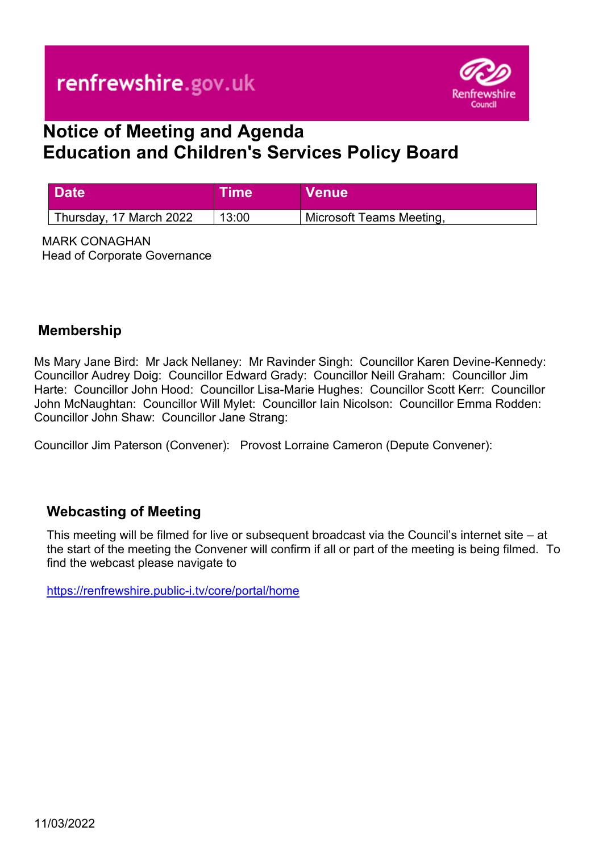

# **Notice of Meeting and Agenda Education and Children's Services Policy Board**

| <b>Date</b>             | <b>Time</b> | <b>Venue</b>             |
|-------------------------|-------------|--------------------------|
| Thursday, 17 March 2022 | 13:00       | Microsoft Teams Meeting, |

MARK CONAGHAN Head of Corporate Governance

### **Membership**

Ms Mary Jane Bird: Mr Jack Nellaney: Mr Ravinder Singh: Councillor Karen Devine-Kennedy: Councillor Audrey Doig: Councillor Edward Grady: Councillor Neill Graham: Councillor Jim Harte: Councillor John Hood: Councillor Lisa-Marie Hughes: Councillor Scott Kerr: Councillor John McNaughtan: Councillor Will Mylet: Councillor Iain Nicolson: Councillor Emma Rodden: Councillor John Shaw: Councillor Jane Strang:

Councillor Jim Paterson (Convener): Provost Lorraine Cameron (Depute Convener):

### **Webcasting of Meeting**

This meeting will be filmed for live or subsequent broadcast via the Council's internet site – at the start of the meeting the Convener will confirm if all or part of the meeting is being filmed. To find the webcast please navigate to

<https://renfrewshire.public-i.tv/core/portal/home>